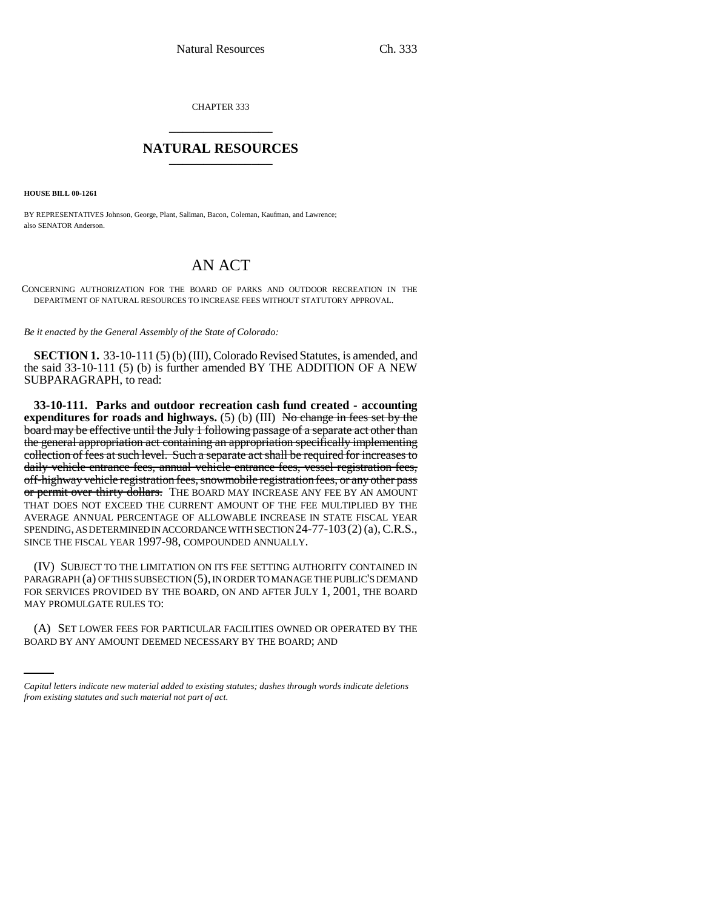CHAPTER 333 \_\_\_\_\_\_\_\_\_\_\_\_\_\_\_

## **NATURAL RESOURCES** \_\_\_\_\_\_\_\_\_\_\_\_\_\_\_

**HOUSE BILL 00-1261** 

BY REPRESENTATIVES Johnson, George, Plant, Saliman, Bacon, Coleman, Kaufman, and Lawrence; also SENATOR Anderson.

## AN ACT

CONCERNING AUTHORIZATION FOR THE BOARD OF PARKS AND OUTDOOR RECREATION IN THE DEPARTMENT OF NATURAL RESOURCES TO INCREASE FEES WITHOUT STATUTORY APPROVAL.

*Be it enacted by the General Assembly of the State of Colorado:*

**SECTION 1.** 33-10-111 (5) (b) (III), Colorado Revised Statutes, is amended, and the said 33-10-111 (5) (b) is further amended BY THE ADDITION OF A NEW SUBPARAGRAPH, to read:

**33-10-111. Parks and outdoor recreation cash fund created - accounting** expenditures for roads and highways. (5) (b) (III) No change in fees set by the board may be effective until the July 1 following passage of a separate act other than the general appropriation act containing an appropriation specifically implementing collection of fees at such level. Such a separate act shall be required for increases to daily vehicle entrance fees, annual vehicle entrance fees, vessel registration fees, off-highway vehicle registration fees, snowmobile registration fees, or any other pass or permit over thirty dollars. THE BOARD MAY INCREASE ANY FEE BY AN AMOUNT THAT DOES NOT EXCEED THE CURRENT AMOUNT OF THE FEE MULTIPLIED BY THE AVERAGE ANNUAL PERCENTAGE OF ALLOWABLE INCREASE IN STATE FISCAL YEAR SPENDING, AS DETERMINED IN ACCORDANCE WITH SECTION 24-77-103(2) (a), C.R.S., SINCE THE FISCAL YEAR 1997-98, COMPOUNDED ANNUALLY.

(IV) SUBJECT TO THE LIMITATION ON ITS FEE SETTING AUTHORITY CONTAINED IN PARAGRAPH (a) OF THIS SUBSECTION (5), IN ORDER TO MANAGE THE PUBLIC'S DEMAND FOR SERVICES PROVIDED BY THE BOARD, ON AND AFTER JULY 1, 2001, THE BOARD MAY PROMULGATE RULES TO:

(A) SET LOWER FEES FOR PARTICULAR FACILITIES OWNED OR OPERATED BY THE BOARD BY ANY AMOUNT DEEMED NECESSARY BY THE BOARD; AND

*Capital letters indicate new material added to existing statutes; dashes through words indicate deletions from existing statutes and such material not part of act.*